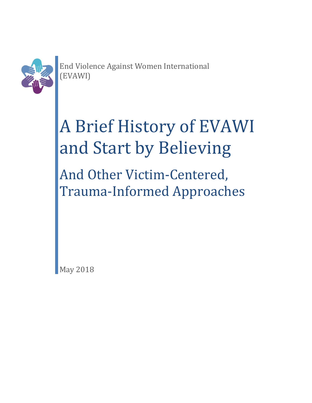

End Violence Against Women International (EVAWI)

# A Brief History of EVAWI and Start by Believing

And Other Victim-Centered, Trauma-Informed Approaches

May 2018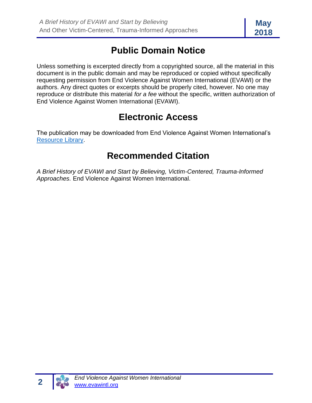# **Public Domain Notice**

Unless something is excerpted directly from a copyrighted source, all the material in this document is in the public domain and may be reproduced or copied without specifically requesting permission from End Violence Against Women International (EVAWI) or the authors. Any direct quotes or excerpts should be properly cited, however. No one may reproduce or distribute this material *for a fee* without the specific, written authorization of End Violence Against Women International (EVAWI).

# **Electronic Access**

The publication may be downloaded from End Violence Against Women International's [Resource Library.](https://evawintl.org/resource-library/)

# **Recommended Citation**

*A Brief History of EVAWI and Start by Believing, Victim-Centered, Trauma-Informed Approaches.* End Violence Against Women International.

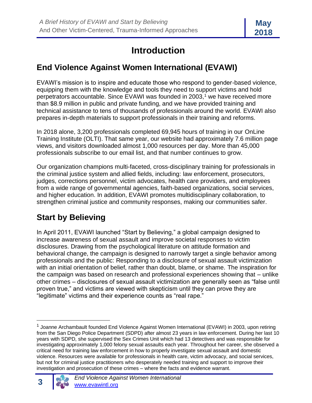

# **Introduction**

#### **End Violence Against Women International (EVAWI)**

EVAWI's mission is to inspire and educate those who respond to gender-based violence, equipping them with the knowledge and tools they need to support victims and hold perpetrators accountable. Since EVAWI was founded in  $2003$ ,<sup>1</sup> we have received more than \$8.9 million in public and private funding, and we have provided training and technical assistance to tens of thousands of professionals around the world. EVAWI also prepares in-depth materials to support professionals in their training and reforms.

In 2018 alone, 3,200 professionals completed 69,945 hours of training in our OnLine Training Institute (OLTI). That same year, our website had approximately 7.6 million page views, and visitors downloaded almost 1,000 resources per day. More than 45,000 professionals subscribe to our email list, and that number continues to grow.

Our organization champions multi-faceted, cross-disciplinary training for professionals in the criminal justice system and allied fields, including: law enforcement, prosecutors, judges, corrections personnel, victim advocates, health care providers, and employees from a wide range of governmental agencies, faith-based organizations, social services, and higher education. In addition, EVAWI promotes multidisciplinary collaboration, to strengthen criminal justice and community responses, making our communities safer.

## **Start by Believing**

In April 2011, EVAWI launched "Start by Believing," a global campaign designed to increase awareness of sexual assault and improve societal responses to victim disclosures. Drawing from the psychological literature on attitude formation and behavioral change, the campaign is designed to narrowly target a single behavior among professionals and the public: Responding to a disclosure of sexual assault victimization with an initial orientation of belief, rather than doubt, blame, or shame. The inspiration for the campaign was based on research and professional experiences showing that – unlike other crimes – disclosures of sexual assault victimization are generally seen as "false until proven true," and victims are viewed with skepticism until they can prove they are "legitimate" victims and their experience counts as "real rape."

<sup>&</sup>lt;sup>1</sup> Joanne Archambault founded End Violence Against Women International (EVAWI) in 2003, upon retiring from the San Diego Police Department (SDPD) after almost 23 years in law enforcement. During her last 10 years with SDPD, she supervised the Sex Crimes Unit which had 13 detectives and was responsible for investigating approximately 1,000 felony sexual assaults each year. Throughout her career, she observed a critical need for training law enforcement in how to properly investigate sexual assault and domestic violence. Resources were available for professionals in health care, victim advocacy, and social services, but not for criminal justice practitioners who desperately needed training and support to improve their investigation and prosecution of these crimes – where the facts and evidence warrant.

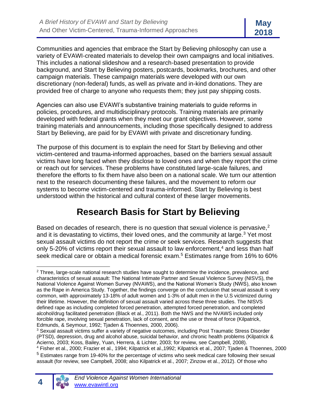Communities and agencies that embrace the Start by Believing philosophy can use a variety of EVAWI-created materials to develop their own campaigns and local initiatives. This includes a national slideshow and a research-based presentation to provide background, and Start by Believing posters, postcards, bookmarks, brochures, and other campaign materials. These campaign materials were developed with our own discretionary (non-federal) funds, as well as private and in-kind donations. They are provided free of charge to anyone who requests them; they just pay shipping costs.

Agencies can also use EVAWI's substantive training materials to guide reforms in policies, procedures, and multidisciplinary protocols. Training materials are primarily developed with federal grants when they meet our grant objectives. However, some training materials and announcements, including those specifically designed to address Start by Believing, are paid for by EVAWI with private and discretionary funding.

The purpose of this document is to explain the need for Start by Believing and other victim-centered and trauma-informed approaches, based on the barriers sexual assault victims have long faced when they disclose to loved ones and when they report the crime or reach out for services. These problems have constituted large-scale failures, and therefore the efforts to fix them have also been on a national scale. We turn our attention next to the research documenting these failures, and the movement to reform our systems to become victim-centered and trauma-informed. Start by Believing is best understood within the historical and cultural context of these larger movements.

# **Research Basis for Start by Believing**

Based on decades of research, there is no question that sexual violence is pervasive. $2$ and it is devastating to victims, their loved ones, and the community at large.<sup>3</sup> Yet most sexual assault victims do not report the crime or seek services. Research suggests that only 5-20% of victims report their sexual assault to law enforcement, $4$  and less than half seek medical care or obtain a medical forensic exam.<sup>5</sup> Estimates range from 16% to 60%

<sup>4</sup> Fisher et al., 2000; Frazier et al., 1994; Kilpatrick et al.,1992; Kilpatrick et al., 2007; Tjaden & Thoennes, 2000 <sup>5</sup> Estimates range from 19-40% for the percentage of victims who seek medical care following their sexual assault (for review, see Campbell, 2008; also Kilpatrick et al., 2007; Zinzow et al., 2012). Of those who



<sup>&</sup>lt;sup>2</sup> Three, large-scale national research studies have sought to determine the incidence, prevalence, and characteristics of sexual assault: The National Intimate Partner and Sexual Violence Survey (NISVS), the National Violence Against Women Survey (NVAWS), and the National Women's Study (NWS), also known as the Rape in America Study. Together, the findings converge on the conclusion that sexual assault is very common, with approximately 13-18% of adult women and 1-3% of adult men in the U.S victimized during their lifetime. However, the definition of sexual assault varied across these three studies. The NISVS defined rape as including completed forced penetration, attempted forced penetration, and completed alcohol/drug facilitated penetration (Black et al., 2011). Both the NWS and the NVAWS included only forcible rape, involving sexual penetration, lack of consent, and the use or threat of force (Kilpatrick, Edmunds, & Seymour, 1992; Tjaden & Thoennes, 2000, 2006).

<sup>&</sup>lt;sup>3</sup> Sexual assault victims suffer a variety of negative outcomes, including Post Traumatic Stress Disorder (PTSD), depression, drug and alcohol abuse, suicidal behavior, and chronic health problems (Kilpatrick & Acierno, 2003; Koss, Bailey, Yuan, Herrera, & Lichter, 2003; for review, see Campbell, 2008).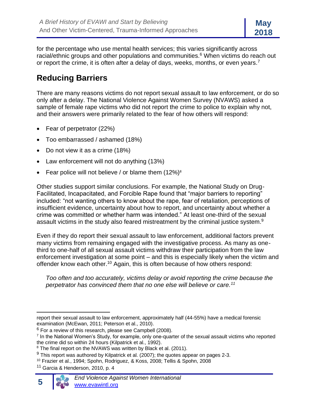for the percentage who use mental health services; this varies significantly across racial/ethnic groups and other populations and communities.<sup>6</sup> When victims do reach out or report the crime, it is often after a delay of days, weeks, months, or even years.<sup>7</sup>

#### **Reducing Barriers**

There are many reasons victims do not report sexual assault to law enforcement, or do so only after a delay. The National Violence Against Women Survey (NVAWS) asked a sample of female rape victims who did not report the crime to police to explain why not, and their answers were primarily related to the fear of how others will respond:

- Fear of perpetrator (22%)
- Too embarrassed / ashamed (18%)
- Do not view it as a crime (18%)
- Law enforcement will not do anything (13%)
- Fear police will not believe / or blame them  $(12\%)^8$

Other studies support similar conclusions. For example, the National Study on Drug-Facilitated, Incapacitated, and Forcible Rape found that "major barriers to reporting" included: "not wanting others to know about the rape, fear of retaliation, perceptions of insufficient evidence, uncertainty about how to report, and uncertainty about whether a crime was committed or whether harm was intended." At least one-third of the sexual assault victims in the study also feared mistreatment by the criminal justice system.<sup>9</sup>

Even if they do report their sexual assault to law enforcement, additional factors prevent many victims from remaining engaged with the investigative process. As many as onethird to one-half of all sexual assault victims withdraw their participation from the law enforcement investigation at some point – and this is especially likely when the victim and offender know each other.<sup>10</sup> Again, this is often because of how others respond:

*Too often and too accurately, victims delay or avoid reporting the crime because the perpetrator has convinced them that no one else will believe or care.<sup>11</sup>*

 $11$  Garcia & Henderson, 2010, p. 4



report their sexual assault to law enforcement, approximately half (44-55%) have a medical forensic examination (McEwan, 2011; Peterson et al., 2010).

 $6$  For a review of this research, please see Campbell (2008).

<sup>&</sup>lt;sup>7</sup> In the National Women's Study, for example, only one-quarter of the sexual assault victims who reported the crime did so within 24 hours (Kilpatrick et al., 1992).

 $8$  The final report on the NVAWS was written by Black et al. (2011).

 $9$  This report was authored by Kilpatrick et al. (2007); the quotes appear on pages 2-3.

<sup>10</sup> Frazier et al., 1994; Spohn, Rodriguez, & Koss, 2008; Tellis & Spohn, 2008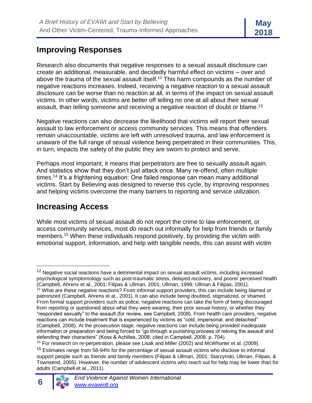#### **Improving Responses**

Research also documents that negative responses to a sexual assault disclosure can create an additional, measurable, and decidedly harmful effect on victims – over and above the trauma of the sexual assault itself.<sup>12</sup> This harm compounds as the number of negative reactions increases. Indeed, receiving a negative reaction to a sexual assault disclosure can be worse than no reaction at all, in terms of the impact on sexual assault victims. In other words, victims are better off telling no one at all about their sexual assault, than telling someone and receiving a negative reaction of doubt or blame.<sup>13</sup>

Negative reactions can also decrease the likelihood that victims will report their sexual assault to law enforcement or access community services. This means that offenders remain unaccountable, victims are left with unresolved trauma, and law enforcement is unaware of the full range of sexual violence being perpetrated in their communities. This, in turn, impacts the safety of the public they are sworn to protect and serve.

Perhaps most important, it means that perpetrators are free to sexually assault again. And statistics show that they don't just attack once. Many re-offend, often multiple times.<sup>14</sup> It's a frightening equation: One failed response can mean many additional victims. Start by Believing was designed to reverse this cycle, by improving responses and helping victims overcome the many barriers to reporting and service utilization.

### **Increasing Access**

While most victims of sexual assault do not report the crime to law enforcement, or access community services, most *do* reach out informally for help from friends or family members.<sup>15</sup> When these individuals respond positively, by providing the victim with emotional support, information, and help with tangible needs, this can assist with victim

<sup>&</sup>lt;sup>15</sup> Estimates range from 58-94% for the percentage of sexual assault victims who disclose to informal support people such as friends and family members (Filipas & Ullman, 2001; Starzynski, Ullman, Filipas, & Townsend, 2005). However, the number of adolescent victims who reach out for help may be lower than for adults (Campbell et al., 2011).



<sup>&</sup>lt;sup>12</sup> Negative social reactions have a detrimental impact on sexual assault victims, including increased psychological symptomology such as post-traumatic stress, delayed recovery, and poorer perceived health (Campbell, Ahrens et al., 2001; Filipas & Ullman, 2001; Ullman, 1999; Ullman & Filipas, 2001). <sup>13</sup> What are these negative reactions? From informal support providers, this can include being blamed or patronized (Campbell, Ahrens et al., 2001). It can also include being doubted, stigmatized, or shamed. From formal support providers such as police, negative reactions can take the form of being discouraged from reporting or questioned about what they were wearing, their prior sexual history, or whether they "responded sexually" to the assault (for review, see Campbell, 2008). From health care providers, negative reactions can include treatment that is experienced by victims as "cold, impersonal, and detached" (Campbell, 2008). At the prosecution stage, negative reactions can include being provided inadequate information or preparation and being forced to "go through a punishing process of reliving the assault and defending their characters" (Koss & Achilles, 2008; cited in Campbell, 2008, p. 704).

 $14$  For research on re-perpetration, please see Lisak and Miller (2002) and McWhorter et al. (2009).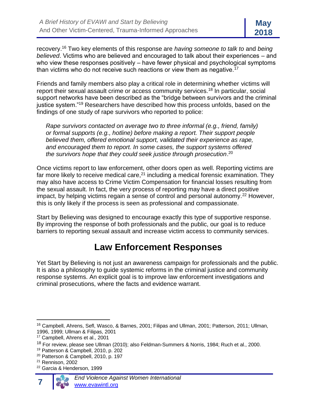recovery.<sup>16</sup> Two key elements of this response are *having someone to talk to* and *being believed*. Victims who are believed and encouraged to talk about their experiences – and who view these responses positively – have fewer physical and psychological symptoms than victims who do not receive such reactions or view them as negative.<sup>17</sup>

Friends and family members also play a critical role in determining whether victims will report their sexual assault crime or access community services.<sup>18</sup> In particular, social support networks have been described as the "bridge between survivors and the criminal justice system."<sup>19</sup> Researchers have described how this process unfolds, based on the findings of one study of rape survivors who reported to police:

*Rape survivors contacted on average two to three informal (e.g., friend, family) or formal supports (e.g., hotline) before making a report. Their support people believed them, offered emotional support, validated their experience as rape, and encouraged them to report. In some cases, the support systems offered the survivors hope that they could seek justice through prosecution*. 20

Once victims report to law enforcement, other doors open as well. Reporting victims are far more likely to receive medical care, $^{21}$  including a medical forensic examination. They may also have access to Crime Victim Compensation for financial losses resulting from the sexual assault. In fact, the very process of reporting may have a direct positive impact, by helping victims regain a sense of control and personal autonomy.<sup>22</sup> However, this is only likely if the process is seen as professional and compassionate.

Start by Believing was designed to encourage exactly this type of supportive response. By improving the response of both professionals and the public, our goal is to reduce barriers to reporting sexual assault and increase victim access to community services.

### **Law Enforcement Responses**

Yet Start by Believing is not just an awareness campaign for professionals and the public. It is also a philosophy to guide systemic reforms in the criminal justice and community response systems. An explicit goal is to improve law enforcement investigations and criminal prosecutions, where the facts and evidence warrant.

<sup>22</sup> Garcia & Henderson, 1999



<sup>16</sup> Campbell, Ahrens, Sefl, Wasco, & Barnes, 2001; Filipas and Ullman, 2001; Patterson, 2011; Ullman, 1996, 1999; Ullman & Filipas, 2001

<sup>17</sup> Campbell, Ahrens et al., 2001

<sup>&</sup>lt;sup>18</sup> For review, please see Ullman (2010); also Feldman-Summers & Norris, 1984; Ruch et al., 2000.

<sup>19</sup> Patterson & Campbell, 2010, p. 202

<sup>20</sup> Patterson & Campbell, 2010, p. 197

<sup>21</sup> Rennison, 2002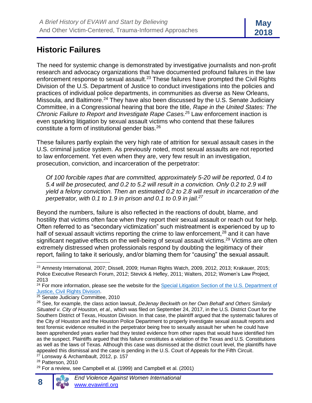#### **Historic Failures**

The need for systemic change is demonstrated by investigative journalists and non-profit research and advocacy organizations that have documented profound failures in the law enforcement response to sexual assault.<sup>23</sup> These failures have prompted the Civil Rights Division of the U.S. Department of Justice to conduct investigations into the policies and practices of individual police departments, in communities as diverse as New Orleans, Missoula, and Baltimore.<sup>24</sup> They have also been discussed by the U.S. Senate Judiciary Committee, in a Congressional hearing that bore the title, *Rape in the United States: The Chronic Failure to Report and Investigate Rape Cases.<sup>25</sup>* Law enforcement inaction is even sparking litigation by sexual assault victims who contend that these failures constitute a form of institutional gender bias.<sup>26</sup>

These failures partly explain the very high rate of attrition for sexual assault cases in the U.S. criminal justice system. As previously noted, most sexual assaults are not reported to law enforcement. Yet even when they are, very few result in an investigation, prosecution, conviction, and incarceration of the perpetrator:

*Of 100 forcible rapes that are committed, approximately 5-20 will be reported, 0.4 to 5.4 will be prosecuted, and 0.2 to 5.2 will result in a conviction. Only 0.2 to 2.9 will yield a felony conviction. Then an estimated 0.2 to 2.8 will result in incarceration of the perpetrator, with 0.1 to 1.9 in prison and 0.1 to 0.9 in jail.<sup>27</sup>*

Beyond the numbers, failure is also reflected in the reactions of doubt, blame, and hostility that victims often face when they report their sexual assault or reach out for help. Often referred to as "secondary victimization" such mistreatment is experienced by up to half of sexual assault victims reporting the crime to law enforcement,<sup>28</sup> and it can have significant negative effects on the well-being of sexual assault victims.<sup>29</sup> Victims are often extremely distressed when professionals respond by doubting the legitimacy of their report, failing to take it seriously, and/or blaming them for "causing" the sexual assault.

<sup>23</sup> Amnesty International, 2007; Dissell, 2009; Human Rights Watch, 2009, 2012, 2013; Krakauer, 2015; Police Executive Research Forum, 2012; Stevick & Hefley, 2011; Walters, 2012; Women's Law Project, 2013

<sup>&</sup>lt;sup>24</sup> For more information, please see the website for the Special Litigation Section of the U.S. Department of [Justice, Civil Rights Division.](http://www.justice.gov/crt/conduct-law-enforcement-agencies)

<sup>25</sup> Senate Judiciary Committee, 2010

<sup>26</sup> See, for example, the class action lawsuit, *DeJenay Beckwith on her Own Behalf and Others Similarly Situated v. City of Houston, et al.,* which was filed on September 24, 2017, in the U.S. District Court for the Southern District of Texas, Houston Division. In that case, the plaintiff argued that the systematic failures of the City of Houston and the Houston Police Department to properly investigate sexual assault reports and test forensic evidence resulted in the perpetrator being free to sexually assault her when he could have been apprehended years earlier had they tested evidence from other rapes that would have identified him as the suspect. Plaintiffs argued that this failure constitutes a violation of the Texas and U.S. Constitutions as well as the laws of Texas. Although this case was dismissed at the district court level, the plaintiffs have appealed this dismissal and the case is pending in the U.S. Court of Appeals for the Fifth Circuit.

 $27$  Lonsway & Archambault, 2012, p. 157

<sup>&</sup>lt;sup>28</sup> Patterson, 2010

 $29$  For a review, see Campbell et al. (1999) and Campbell et al. (2001)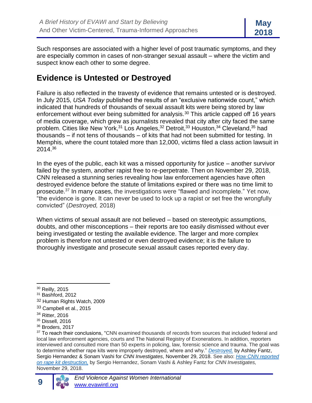Such responses are associated with a higher level of post traumatic symptoms, and they are especially common in cases of non-stranger sexual assault – where the victim and suspect know each other to some degree.

#### **Evidence is Untested or Destroyed**

Failure is also reflected in the travesty of evidence that remains untested or is destroyed. In July 2015, *USA Today* published the results of an "exclusive nationwide count," which indicated that hundreds of thousands of sexual assault kits were being stored by law enforcement without ever being submitted for analysis.<sup>30</sup> This article capped off 16 years of media coverage, which grew as journalists revealed that city after city faced the same problem. Cities like New York,<sup>31</sup> Los Angeles,<sup>32</sup> Detroit,<sup>33</sup> Houston,<sup>34</sup> Cleveland,<sup>35</sup> had thousands – if not tens of thousands – of kits that had not been submitted for testing. In Memphis, where the count totaled more than 12,000, victims filed a class action lawsuit in 2014.<sup>36</sup>

In the eyes of the public, each kit was a missed opportunity for justice – another survivor failed by the system, another rapist free to re-perpetrate. Then on November 29, 2018, CNN released a stunning series revealing how law enforcement agencies have often destroyed evidence before the statute of limitations expired or there was no time limit to prosecute.<sup>37</sup> In many cases, the investigations were "flawed and incomplete." Yet now, "the evidence is gone. It can never be used to lock up a rapist or set free the wrongfully convicted" (*Destroyed,* 2018)

When victims of sexual assault are not believed – based on stereotypic assumptions, doubts, and other misconceptions – their reports are too easily dismissed without ever being investigated or testing the available evidence. The larger and more complex problem is therefore not untested or even destroyed evidence; it is the failure to thoroughly investigate and prosecute sexual assault cases reported every day.

**9**

<sup>30</sup> Reilly, 2015

<sup>31</sup> Bashford, 2012

<sup>32</sup> Human Rights Watch, 2009

<sup>33</sup> Campbell et al., 2015

<sup>34</sup> Ritter, 2016

<sup>35</sup> Dissell, 2016

<sup>36</sup> Broders, 2017

<sup>&</sup>lt;sup>37</sup> To reach their conclusions, "CNN examined thousands of records from sources that included federal and local law enforcement agencies, courts and The National Registry of Exonerations. In addition, reporters interviewed and consulted more than 50 experts in policing, law, forensic science and trauma. The goal was to determine whether rape kits were improperly destroyed, where and why." *[Destroyed,](http://www.cnn.com/interactive/2018/11/investigates/police-destroyed-rapekits/index.html)* by Ashley Fantz, Sergio Hernandez & Sonam Vashi for *CNN Investigates*, November 29, 2018. See also: *[How CNN reported](http://www.cnn.com/interactive/2018/11/investigates/police-destroyed-rapekits/about.html)  [on rape kit destruction,](http://www.cnn.com/interactive/2018/11/investigates/police-destroyed-rapekits/about.html)* by Sergio Hernandez, Sonam Vashi & Ashley Fantz for *CNN Investigates,*  November 29, 2018.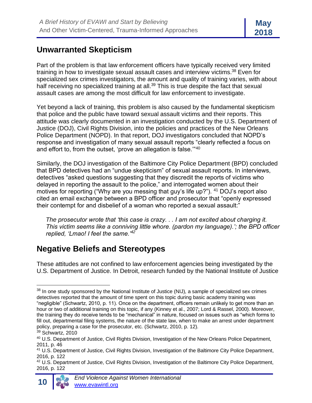#### **Unwarranted Skepticism**

Part of the problem is that law enforcement officers have typically received very limited training in how to investigate sexual assault cases and interview victims.<sup>38</sup> Even for specialized sex crimes investigators, the amount and quality of training varies, with about half receiving no specialized training at all.<sup>39</sup> This is true despite the fact that sexual assault cases are among the most difficult for law enforcement to investigate.

Yet beyond a lack of training, this problem is also caused by the fundamental skepticism that police and the public have toward sexual assault victims and their reports. This attitude was clearly documented in an investigation conducted by the U.S. Department of Justice (DOJ), Civil Rights Division, into the policies and practices of the New Orleans Police Department (NOPD). In that report, DOJ investigators concluded that NOPD's response and investigation of many sexual assault reports "clearly reflected a focus on and effort to, from the outset, 'prove an allegation is false."<sup>40</sup>

Similarly, the DOJ investigation of the Baltimore City Police Department (BPD) concluded that BPD detectives had an "undue skepticism" of sexual assault reports. In interviews, detectives "asked questions suggesting that they discredit the reports of victims who delayed in reporting the assault to the police," and interrogated women about their motives for reporting ("Why are you messing that guy's life up?"). <sup>41</sup> DOJ's report also cited an email exchange between a BPD officer and prosecutor that "openly expressed their contempt for and disbelief of a woman who reported a sexual assault:"

*The prosecutor wrote that 'this case is crazy. . . I am not excited about charging it. This victim seems like a conniving little whore. (pardon my language).'; the BPD officer replied, 'Lmao! I feel the same.'<sup>42</sup>*

### **Negative Beliefs and Stereotypes**

These attitudes are not confined to law enforcement agencies being investigated by the U.S. Department of Justice. In Detroit, research funded by the National Institute of Justice

<sup>&</sup>lt;sup>38</sup> In one study sponsored by the National Institute of Justice (NIJ), a sample of specialized sex crimes detectives reported that the amount of time spent on this topic during basic academy training was "negligible" (Schwartz, 2010, p. 11). Once on the department, officers remain unlikely to get more than an hour or two of additional training on this topic, if any (Kinney et al., 2007; Lord & Rassel, 2000). Moreover, the training they do receive tends to be "mechanical" in nature, focused on issues such as "which forms to fill out, departmental filing systems, the nature of the state law, when to make an arrest under department policy, preparing a case for the prosecutor, etc. (Schwartz, 2010, p. 12).

 $39$  Schwartz, 2010

<sup>40</sup> U.S. Department of Justice, Civil Rights Division, Investigation of the New Orleans Police Department, 2011, p. 46

<sup>41</sup> U.S. Department of Justice, Civil Rights Division, Investigation of the Baltimore City Police Department, 2016, p. 122

<sup>&</sup>lt;sup>42</sup> U.S. Department of Justice, Civil Rights Division, Investigation of the Baltimore City Police Department, 2016, p. 122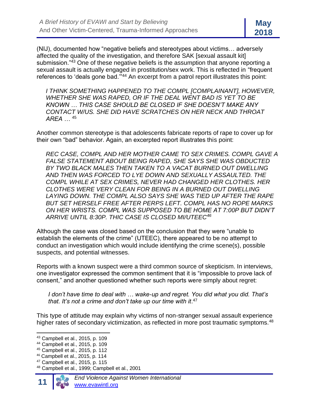(NIJ), documented how "negative beliefs and stereotypes about victims… adversely affected the quality of the investigation, and therefore SAK [sexual assault kit] submission."<sup>43</sup> One of these negative beliefs is the assumption that anyone reporting a sexual assault is actually engaged in prostitution/sex work. This is reflected in "frequent references to 'deals gone bad.'"<sup>44</sup> An excerpt from a patrol report illustrates this point:

*I THINK SOMETHING HAPPENED TO THE COMPL [COMPLAINANT], HOWEVER, WHETHER SHE WAS RAPED, OR IF THE DEAL WENT BAD IS YET TO BE KNOWN … THIS CASE SHOULD BE CLOSED IF SHE DOESN'T MAKE ANY CONTACT W/US. SHE DID HAVE SCRATCHES ON HER NECK AND THROAT AREA …* <sup>45</sup>

Another common stereotype is that adolescents fabricate reports of rape to cover up for their own "bad" behavior. Again, an excerpted report illustrates this point:

*REC CASE, COMPL AND HER MOTHER CAME TO SEX CRIMES. COMPL GAVE A FALSE STATEMENT ABOUT BEING RAPED, SHE SAYS SHE WAS OBDUCTED BY TWO BLACK MALES THEN TAKEN TO A VACAT BURNED OUT DWELLING AND THEN WAS FORCED TO LYE DOWN AND SEXUALLY ASSAULTED. THE COMPL WHILE AT SEX CRIMES, NEVER HAD CHANGED HER CLOTHES. HER CLOTHES WERE VERY CLEAN FOR BEING IN A BURNED OUT DWELLING LAYING DOWN. THE COMPL ALSO SAYS SHE WAS TIED UP AFTER THE RAPE BUT SET HERSELF FREE AFTER PERPS LEFT. COMPL HAS NO ROPE MARKS ON HER WRISTS. COMPL WAS SUPPOSED TO BE HOME AT 7:00P BUT DIDN'T ARRIVE UNTIL 8:30P. THIC CASE IS CLOSED MI/UTEEC<sup>46</sup>*

Although the case was closed based on the conclusion that they were "unable to establish the elements of the crime" (UTEEC), there appeared to be no attempt to conduct an investigation which would include identifying the crime scene(s), possible suspects, and potential witnesses.

Reports with a known suspect were a third common source of skepticism. In interviews, one investigator expressed the common sentiment that it is "impossible to prove lack of consent," and another questioned whether such reports were simply about regret:

*I don't have time to deal with … wake-up and regret. You did what you did. That's that. It's not a crime and don't take up our time with it*. 47

This type of attitude may explain why victims of non-stranger sexual assault experience higher rates of secondary victimization, as reflected in more post traumatic symptoms.<sup>48</sup>

<sup>43</sup> Campbell et al., 2015, p. 109

<sup>44</sup> Campbell et al., 2015, p. 109

<sup>45</sup> Campbell et al., 2015, p. 112

<sup>46</sup> Campbell et al., 2015, p. 114

<sup>47</sup> Campbell et al., 2015, p. 115

<sup>48</sup> Campbell et al., 1999; Campbell et al., 2001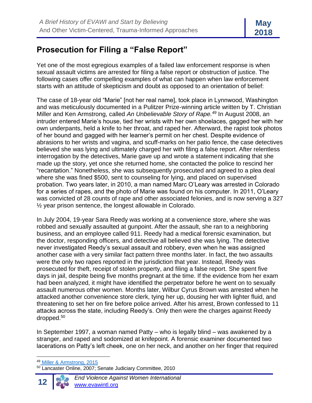#### **Prosecution for Filing a "False Report"**

Yet one of the most egregious examples of a failed law enforcement response is when sexual assault victims are arrested for filing a false report or obstruction of justice. The following cases offer compelling examples of what can happen when law enforcement starts with an attitude of skepticism and doubt as opposed to an orientation of belief:

The case of 18-year old "Marie" [not her real name], took place in Lynnwood, Washington and was meticulously documented in a Pulitzer Prize-winning article written by T. Christian Miller and Ken Armstrong, called *An Unbelievable Story of Rape.<sup>49</sup>* In August 2008, an intruder entered Marie's house, tied her wrists with her own shoelaces, gagged her with her own underpants, held a knife to her throat, and raped her. Afterward, the rapist took photos of her bound and gagged with her learner's permit on her chest. Despite evidence of abrasions to her wrists and vagina, and scuff-marks on her patio fence, the case detectives believed she was lying and ultimately charged her with filing a false report. After relentless interrogation by the detectives, Marie gave up and wrote a statement indicating that she made up the story, yet once she returned home, she contacted the police to rescind her "recantation." Nonetheless, she was subsequently prosecuted and agreed to a plea deal where she was fined \$500, sent to counseling for lying, and placed on supervised probation. Two years later, in 2010, a man named Marc O'Leary was arrested in Colorado for a series of rapes, and the photo of Marie was found on his computer. In 2011, O'Leary was convicted of 28 counts of rape and other associated felonies, and is now serving a 327 ½ year prison sentence, the longest allowable in Colorado.

In July 2004, 19-year Sara Reedy was working at a convenience store, where she was robbed and sexually assaulted at gunpoint. After the assault, she ran to a neighboring business, and an employee called 911. Reedy had a medical forensic examination, but the doctor, responding officers, and detective all believed she was lying. The detective never investigated Reedy's sexual assault and robbery, even when he was assigned another case with a very similar fact pattern three months later. In fact, the two assaults were the only two rapes reported in the jurisdiction that year. Instead, Reedy was prosecuted for theft, receipt of stolen property, and filing a false report. She spent five days in jail, despite being five months pregnant at the time. If the evidence from her exam had been analyzed, it might have identified the perpetrator before he went on to sexually assault numerous other women. Months later, Wilbur Cyrus Brown was arrested when he attacked another convenience store clerk, tying her up, dousing her with lighter fluid, and threatening to set her on fire before police arrived. After his arrest, Brown confessed to 11 attacks across the state, including Reedy's. Only then were the charges against Reedy dropped.<sup>50</sup>

In September 1997, a woman named Patty – who is legally blind – was awakened by a stranger, and raped and sodomized at knifepoint. A forensic examiner documented two lacerations on Patty's left cheek, one on her neck, and another on her finger that required

<sup>&</sup>lt;sup>50</sup> Lancaster Online, 2007; Senate Judiciary Committee, 2010



<sup>49</sup> Miller & Armstrong, 2015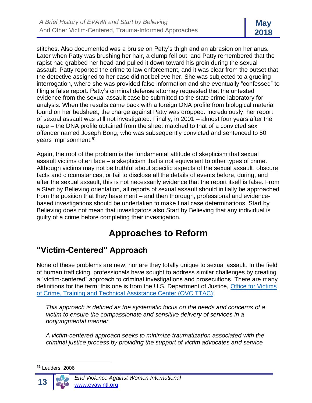stitches. Also documented was a bruise on Patty's thigh and an abrasion on her anus. Later when Patty was brushing her hair, a clump fell out, and Patty remembered that the rapist had grabbed her head and pulled it down toward his groin during the sexual assault. Patty reported the crime to law enforcement, and it was clear from the outset that the detective assigned to her case did not believe her. She was subjected to a grueling interrogation, where she was provided false information and she eventually "confessed" to filing a false report. Patty's criminal defense attorney requested that the untested evidence from the sexual assault case be submitted to the state crime laboratory for analysis. When the results came back with a foreign DNA profile from biological material found on her bedsheet, the charge against Patty was dropped. Incredulously, her report of sexual assault was still not investigated. Finally, in 2001 – almost four years after the rape – the DNA profile obtained from the sheet matched to that of a convicted sex offender named Joseph Bong, who was subsequently convicted and sentenced to 50 years imprisonment.<sup>51</sup>

Again, the root of the problem is the fundamental attitude of skepticism that sexual assault victims often face – a skepticism that is not equivalent to other types of crime. Although victims may not be truthful about specific aspects of the sexual assault, obscure facts and circumstances, or fail to disclose all the details of events before, during, and after the sexual assault, this is not necessarily evidence that the report itself is false. From a Start by Believing orientation, all reports of sexual assault should initially be approached from the position that they have merit – and then thorough, professional and evidencebased investigations should be undertaken to make final case determinations. Start by Believing does not mean that investigators also Start by Believing that any individual is guilty of a crime before completing their investigation.

# **Approaches to Reform**

### **"Victim-Centered" Approach**

None of these problems are new, nor are they totally unique to sexual assault. In the field of human trafficking, professionals have sought to address similar challenges by creating a "victim-centered" approach to criminal investigations and prosecutions. There are many definitions for the term; this one is from the U.S. Department of Justice, [Office for Victims](file:///C:/Users/alison/AppData/Local/Microsoft/Windows/Temporary%20Internet%20Files/Content.Outlook/W0BTC5AE/U.S.%20Department%20of%20Justice,%20Office%20for%20Victims%20of%20Crime,%20Training%20and%20Technical%20Assistance%20Center%20(OVC%20TTAC))  [of Crime, Training and Technical Assistance Center \(OVC TTAC\):](file:///C:/Users/alison/AppData/Local/Microsoft/Windows/Temporary%20Internet%20Files/Content.Outlook/W0BTC5AE/U.S.%20Department%20of%20Justice,%20Office%20for%20Victims%20of%20Crime,%20Training%20and%20Technical%20Assistance%20Center%20(OVC%20TTAC))

*This approach is defined as the systematic focus on the needs and concerns of a victim to ensure the compassionate and sensitive delivery of services in a nonjudgmental manner.*

*A victim-centered approach seeks to minimize traumatization associated with the criminal justice process by providing the support of victim advocates and service* 

 $51$  Leuders, 2006

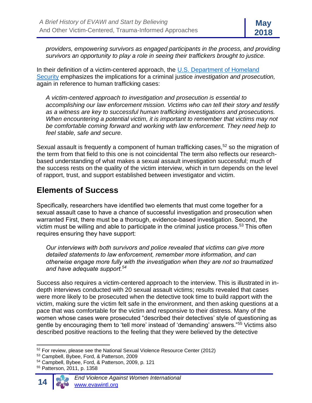*providers, empowering survivors as engaged participants in the process, and providing survivors an opportunity to play a role in seeing their traffickers brought to justice.*

In their definition of a victim-centered approach, the  $U.S.$  Department of Homeland [Security](file:///C:/Users/alison/AppData/Local/Microsoft/Windows/Temporary%20Internet%20Files/Content.Outlook/W0BTC5AE/Blue%20Campaign,%20U.S.%20Department%20of%20Homeland%20Security) emphasizes the implications for a criminal justice *investigation and prosecution,* again in reference to human trafficking cases:

*A victim-centered approach to investigation and prosecution is essential to accomplishing our law enforcement mission. Victims who can tell their story and testify as a witness are key to successful human trafficking investigations and prosecutions. When encountering a potential victim, it is important to remember that victims may not be comfortable coming forward and working with law enforcement. They need help to feel stable, safe and secure.*

Sexual assault is frequently a component of human trafficking cases,<sup>52</sup> so the migration of the term from that field to this one is not coincidental The term also reflects our researchbased understanding of what makes a sexual assault investigation successful; much of the success rests on the quality of the victim interview, which in turn depends on the level of rapport, trust, and support established between investigator and victim.

#### **Elements of Success**

Specifically, researchers have identified two elements that must come together for a sexual assault case to have a chance of successful investigation and prosecution when warranted First, there must be a thorough, evidence-based investigation. Second, the victim must be willing and able to participate in the criminal justice process.<sup>53</sup> This often requires ensuring they have support:

*Our interviews with both survivors and police revealed that victims can give more detailed statements to law enforcement, remember more information, and can otherwise engage more fully with the investigation when they are not so traumatized and have adequate support.<sup>54</sup>*

Success also requires a victim-centered approach to the interview. This is illustrated in indepth interviews conducted with 20 sexual assault victims; results revealed that cases were more likely to be prosecuted when the detective took time to build rapport with the victim, making sure the victim felt safe in the environment, and then asking questions at a pace that was comfortable for the victim and responsive to their distress. Many of the women whose cases were prosecuted "described their detectives' style of questioning as gentle by encouraging them to 'tell more' instead of 'demanding' answers."<sup>55</sup> Victims also described positive reactions to the feeling that they were believed by the detective

<sup>55</sup> Patterson, 2011, p. 1358



<sup>52</sup> For review, please see the National Sexual Violence Resource Center (2012)

<sup>53</sup> Campbell, Bybee, Ford, & Patterson, 2009

<sup>54</sup> Campbell, Bybee, Ford, & Patterson, 2009, p. 121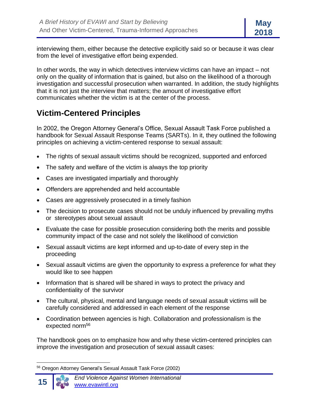interviewing them, either because the detective explicitly said so or because it was clear from the level of investigative effort being expended.

In other words, the way in which detectives interview victims can have an impact – not only on the quality of information that is gained, but also on the likelihood of a thorough investigation and successful prosecution when warranted. In addition, the study highlights that it is not just the interview that matters; the amount of investigative effort communicates whether the victim is at the center of the process.

#### **Victim-Centered Principles**

In 2002, the Oregon Attorney General's Office, Sexual Assault Task Force published a handbook for Sexual Assault Response Teams (SARTs). In it, they outlined the following principles on achieving a victim-centered response to sexual assault:

- The rights of sexual assault victims should be recognized, supported and enforced
- The safety and welfare of the victim is always the top priority
- Cases are investigated impartially and thoroughly
- Offenders are apprehended and held accountable
- Cases are aggressively prosecuted in a timely fashion
- The decision to prosecute cases should not be unduly influenced by prevailing myths or stereotypes about sexual assault
- Evaluate the case for possible prosecution considering both the merits and possible community impact of the case and not solely the likelihood of conviction
- Sexual assault victims are kept informed and up-to-date of every step in the proceeding
- Sexual assault victims are given the opportunity to express a preference for what they would like to see happen
- Information that is shared will be shared in ways to protect the privacy and confidentiality of the survivor
- The cultural, physical, mental and language needs of sexual assault victims will be carefully considered and addressed in each element of the response
- Coordination between agencies is high. Collaboration and professionalism is the expected norm<sup>56</sup>

The handbook goes on to emphasize how and why these victim-centered principles can improve the investigation and prosecution of sexual assault cases:

<sup>56</sup> Oregon Attorney General's Sexual Assault Task Force (2002)

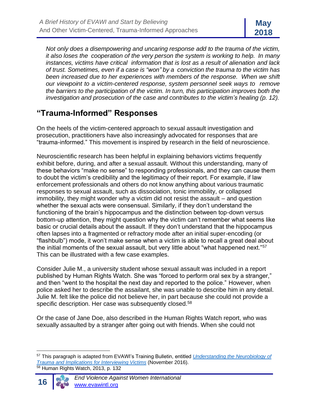*Not only does a disempowering and uncaring response add to the trauma of the victim, it also loses the cooperation of the very person the system is working to help. In many instances, victims have critical information that is lost as a result of alienation and lack of trust. Sometimes, even if a case is "won" by a conviction the trauma to the victim has been increased due to her experiences with members of the response. When we shift our viewpoint to a victim-centered response, system personnel seek ways to remove the barriers to the participation of the victim. In turn, this participation improves both the investigation and prosecution of the case and contributes to the victim's healing (p. 12).*

#### **"Trauma-Informed" Responses**

On the heels of the victim-centered approach to sexual assault investigation and prosecution, practitioners have also increasingly advocated for responses that are "trauma-informed." This movement is inspired by research in the field of neuroscience.

Neuroscientific research has been helpful in explaining behaviors victims frequently exhibit before, during, and after a sexual assault. Without this understanding, many of these behaviors "make no sense" to responding professionals, and they can cause them to doubt the victim's credibility and the legitimacy of their report. For example, if law enforcement professionals and others do not know anything about various traumatic responses to sexual assault, such as dissociation, tonic immobility, or collapsed immobility, they might wonder why a victim did not resist the assault – and question whether the sexual acts were consensual. Similarly, if they don't understand the functioning of the brain's hippocampus and the distinction between top-down versus bottom-up attention, they might question why the victim can't remember what seems like basic or crucial details about the assault. If they don't understand that the hippocampus often lapses into a fragmented or refractory mode after an initial super-encoding (or "flashbulb") mode, it won't make sense when a victim is able to recall a great deal about the initial moments of the sexual assault, but very little about "what happened next."<sup>57</sup> This can be illustrated with a few case examples.

Consider Julie M., a university student whose sexual assault was included in a report published by Human Rights Watch. She was "forced to perform oral sex by a stranger," and then "went to the hospital the next day and reported to the police." However, when police asked her to describe the assailant, she was unable to describe him in any detail. Julie M. felt like the police did not believe her, in part because she could not provide a specific description. Her case was subsequently closed.<sup>58</sup>

Or the case of Jane Doe, also described in the Human Rights Watch report, who was sexually assaulted by a stranger after going out with friends. When she could not

<sup>57</sup> This paragraph is adapted from EVAWI's Training Bulletin, entitled *[Understanding the Neurobiology of](http://www.evawintl.org/Library/DocumentLibraryHandler.ashx?id=842)  [Trauma and Implications for Interviewing Victims](http://www.evawintl.org/Library/DocumentLibraryHandler.ashx?id=842)* (November 2016). <sup>58</sup> Human Rights Watch, 2013, p. 132

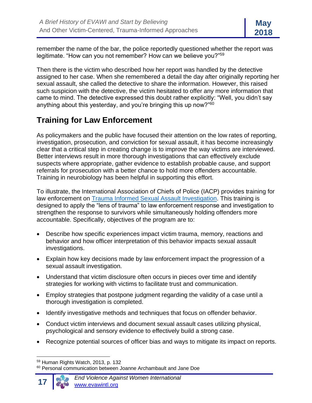remember the name of the bar, the police reportedly questioned whether the report was legitimate. "How can you not remember? How can we believe you?"<sup>59</sup>

Then there is the victim who described how her report was handled by the detective assigned to her case. When she remembered a detail the day after originally reporting her sexual assault, she called the detective to share the information. However, this raised such suspicion with the detective, the victim hesitated to offer any more information that came to mind. The detective expressed this doubt rather explicitly: "Well, you didn't say anything about this yesterday, and you're bringing this up now?"<sup>60</sup>

#### **Training for Law Enforcement**

As policymakers and the public have focused their attention on the low rates of reporting, investigation, prosecution, and conviction for sexual assault, it has become increasingly clear that a critical step in creating change is to improve the way victims are interviewed. Better interviews result in more thorough investigations that can effectively exclude suspects where appropriate, gather evidence to establish probable cause, and support referrals for prosecution with a better chance to hold more offenders accountable. Training in neurobiology has been helpful in supporting this effort.

To illustrate, the International Association of Chiefs of Police (IACP) provides training for law enforcement on **Trauma Informed Sexual Assault Investigation**. This training is designed to apply the "lens of trauma" to law enforcement response and investigation to strengthen the response to survivors while simultaneously holding offenders more accountable. Specifically, objectives of the program are to:

- Describe how specific experiences impact victim trauma, memory, reactions and behavior and how officer interpretation of this behavior impacts sexual assault investigations.
- Explain how key decisions made by law enforcement impact the progression of a sexual assault investigation.
- Understand that victim disclosure often occurs in pieces over time and identify strategies for working with victims to facilitate trust and communication.
- Employ strategies that postpone judgment regarding the validity of a case until a thorough investigation is completed.
- Identify investigative methods and techniques that focus on offender behavior.
- Conduct victim interviews and document sexual assault cases utilizing physical, psychological and sensory evidence to effectively build a strong case.
- Recognize potential sources of officer bias and ways to mitigate its impact on reports.

<sup>&</sup>lt;sup>60</sup> Personal communication between Joanne Archambault and Jane Doe



<sup>59</sup> Human Rights Watch, 2013, p. 132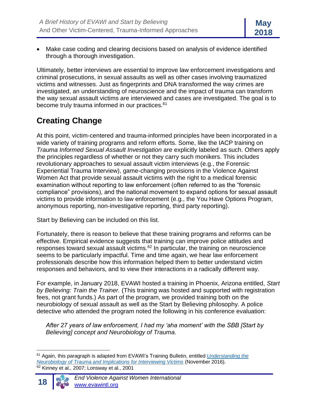• Make case coding and clearing decisions based on analysis of evidence identified through a thorough investigation.

Ultimately, better interviews are essential to improve law enforcement investigations and criminal prosecutions, in sexual assaults as well as other cases involving traumatized victims and witnesses. Just as fingerprints and DNA transformed the way crimes are investigated, an understanding of neuroscience and the impact of trauma can transform the way sexual assault victims are interviewed and cases are investigated. The goal is to become truly trauma informed in our practices.<sup>61</sup>

# **Creating Change**

At this point, victim-centered and trauma-informed principles have been incorporated in a wide variety of training programs and reform efforts. Some, like the IACP training on *Trauma Informed Sexual Assault Investigation* are explicitly labeled as such. Others apply the principles regardless of whether or not they carry such monikers. This includes revolutionary approaches to sexual assault victim interviews (e.g., the Forensic Experiential Trauma Interview), game-changing provisions in the Violence Against Women Act that provide sexual assault victims with the right to a medical forensic examination without reporting to law enforcement (often referred to as the "forensic compliance" provisions), and the national movement to expand options for sexual assault victims to provide information to law enforcement (e.g., the You Have Options Program, anonymous reporting, non-investigative reporting, third party reporting).

Start by Believing can be included on this list.

Fortunately, there is reason to believe that these training programs and reforms can be effective. Empirical evidence suggests that training can improve police attitudes and responses toward sexual assault victims.<sup>62</sup> In particular, the training on neuroscience seems to be particularly impactful. Time and time again, we hear law enforcement professionals describe how this information helped them to better understand victim responses and behaviors, and to view their interactions in a radically different way.

For example, in January 2018, EVAWI hosted a training in Phoenix, Arizona entitled, *Start by Believing: Train the Trainer.* (This training was hosted and supported with registration fees, not grant funds.) As part of the program, we provided training both on the neurobiology of sexual assault as well as the Start by Believing philosophy. A police detective who attended the program noted the following in his conference evaluation:

*After 27 years of law enforcement, I had my 'aha moment' with the SBB [Start by Believing] concept and Neurobiology of Trauma.*

<sup>61</sup> Again, this paragraph is adapted from EVAWI's Training Bulletin, entitled *[Understanding the](http://www.evawintl.org/Library/DocumentLibraryHandler.ashx?id=842)  [Neurobiology of Trauma and Implications for Interviewing Victims](http://www.evawintl.org/Library/DocumentLibraryHandler.ashx?id=842)* (November 2016).  $62$  Kinney et al., 2007; Lonsway et al., 2001

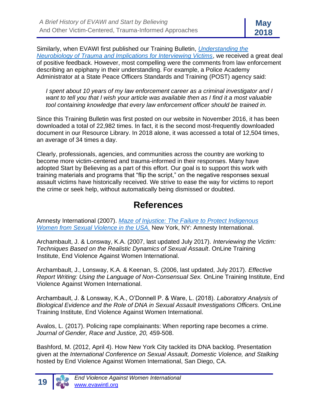Similarly, when EVAWI first published our Training Bulletin, *[Understanding the](http://www.evawintl.org/Library/DocumentLibraryHandler.ashx?id=842)  [Neurobiology of Trauma and Implications for Interviewing Victims](http://www.evawintl.org/Library/DocumentLibraryHandler.ashx?id=842)*, we received a great deal of positive feedback. However, most compelling were the comments from law enforcement describing an epiphany in their understanding. For example, a Police Academy Administrator at a State Peace Officers Standards and Training (POST) agency said:

*I spent about 10 years of my law enforcement career as a criminal investigator and I want to tell you that I wish your article was available then as I find it a most valuable tool containing knowledge that every law enforcement officer should be trained in.*

Since this Training Bulletin was first posted on our website in November 2016, it has been downloaded a total of 22,982 times. In fact, it is the second most-frequently downloaded document in our Resource Library. In 2018 alone, it was accessed a total of 12,504 times, an average of 34 times a day.

Clearly, professionals, agencies, and communities across the country are working to become more victim-centered and trauma-informed in their responses. Many have adopted Start by Believing as a part of this effort. Our goal is to support this work with training materials and programs that "flip the script," on the negative responses sexual assault victims have historically received. We strive to ease the way for victims to report the crime or seek help, without automatically being dismissed or doubted.

### **References**

Amnesty International (2007). *[Maze of Injustice: The Failure to Protect Indigenous](http://www.amnestyusa.org/our-work/issues/women-s-rights/violence-against-women/maze-of-injustice)  [Women from Sexual Violence in the USA.](http://www.amnestyusa.org/our-work/issues/women-s-rights/violence-against-women/maze-of-injustice)* New York, NY: Amnesty International.

Archambault, J. & Lonsway, K.A. (2007, last updated July 2017). *Interviewing the Victim: Techniques Based on the Realistic Dynamics of Sexual Assault*. OnLine Training Institute, End Violence Against Women International.

Archambault, J., Lonsway, K.A. & Keenan, S. (2006, last updated, July 2017). *Effective Report Writing: Using the Language of Non-Consensual Sex.* OnLine Training Institute, End Violence Against Women International.

Archambault, J. & Lonsway, K.A., O'Donnell P. & Ware, L. (2018). *Laboratory Analysis of Biological Evidence and the Role of DNA in Sexual Assault Investigations Officers.* OnLine Training Institute, End Violence Against Women International.

Avalos, L. (2017). Policing rape complainants: When reporting rape becomes a crime. *Journal of Gender, Race and Justice, 20,* 459-508.

Bashford, M. (2012, April 4). How New York City tackled its DNA backlog. Presentation given at the *International Conference on Sexual Assault, Domestic Violence, and Stalking* hosted by End Violence Against Women International, San Diego, CA.

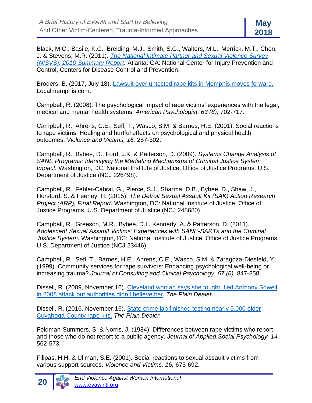Black, M.C., Basile, K.C., Breiding, M.J., Smith, S.G., Walters, M.L., Merrick, M.T., Chen, J. & Stevens, M.R. (2011). *[The National Intimate Partner and Sexual Violence Survey](http://www.cdc.gov/violenceprevention/pdf/nisvs_report2010-a.pdf)  [\(NISVS\): 2010 Summary Report.](http://www.cdc.gov/violenceprevention/pdf/nisvs_report2010-a.pdf)* Atlanta, GA: National Center for Injury Prevention and Control, Centers for Disease Control and Prevention.

Broders, B. (2017, July 18). [Lawsuit over untested rape kits in Memphis moves forward.](http://www.localmemphis.com/news/local-news/lawsuit-over-untested-rape-kits-in-memphis-moves-forward/768493647)  Localmemphis.com.

Campbell, R. (2008). The psychological impact of rape victims' experiences with the legal, medical and mental health systems. *American Psychologist, 63 (8),* 702-717.

Campbell, R., Ahrens, C.E., Sefl, T., Wasco, S.M. & Barnes, H.E. (2001). Social reactions to rape victims: Healing and hurtful effects on psychological and physical health outcomes. *Violence and Victims, 16,* 287-302.

Campbell, R., Bybee, D., Ford, J.K. & Patterson, D. (2009). *Systems Change Analysis of SANE Programs: Identifying the Mediating Mechanisms of Criminal Justice System Impact.* Washington, DC, National Institute of Justice, Office of Justice Programs, U.S. Department of Justice (NCJ 226498).

Campbell, R., Fehler-Cabral, G., Pierce, S.J., Sharma, D.B., Bybee, D., Shaw, J., Horsford, S. & Feeney, H. (2015). *The Detroit Sexual Assault Kit (SAK) Action Research Project (ARP), Final Report.* Washington, DC: National Institute of Justice, Office of Justice Programs, U.S. Department of Justice (NCJ 248680).

Campbell, R., Greeson, M.R., Bybee, D.I., Kennedy, A. & Patterson, D. (2011). *Adolescent Sexual Assault Victims' Experiences with SANE-SARTs and the Criminal Justice System.* Washington, DC: National Institute of Justice, Office of Justice Programs, U.S. Department of Justice (NCJ 23446).

Campbell, R., Sefl, T., Barnes, H.E., Ahrens, C.E., Wasco, S.M. & Zaragoza-Diesfeld, Y. (1999). Community services for rape survivors: Enhancing psychological well-being or increasing trauma? *Journal of Consulting and Clinical Psychology, 67 (6),* 847-858.

Dissell, R. (2009, November 16). [Cleveland woman says she fought, fled Anthony Sowell](http://blog.cleveland.com/metro/2009/11/cleveland_woman_says_police_fa.html)  [in 2008 attack but authorities didn't believe her.](http://blog.cleveland.com/metro/2009/11/cleveland_woman_says_police_fa.html) *The Plain Dealer*.

Dissell, R. (2016, November 16). [State crime lab finished testing nearly 5,000 older](http://www.cleveland.com/rape-kits/index.ssf/2016/11/state_crime_lab_finished_testi.html#incart_river_index)  [Cuyahoga County](http://www.cleveland.com/rape-kits/index.ssf/2016/11/state_crime_lab_finished_testi.html#incart_river_index) rape kits. *The Plain Dealer.*

Feldman-Summers, S. & Norris, J. (1984). Differences between rape victims who report and those who do not report to a public agency. *Journal of Applied Social Psychology, 14,* 562-573.

Filipas, H.H. & Ullman, S.E. (2001). Social reactions to sexual assault victims from various support sources. *Violence and Victims, 16,* 673-692.

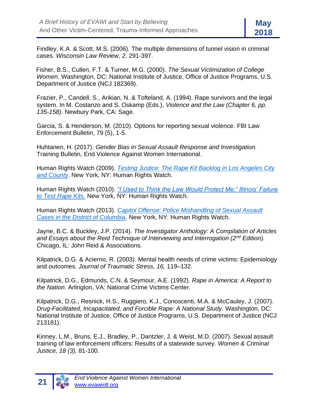

Findley, K.A. & Scott, M.S. (2006). The multiple dimensions of tunnel vision in criminal cases. *Wisconsin Law Review, 2,* 291-397.

Fisher, B.S., Cullen, F.T. & Turner, M.G. (2000). *The Sexual Victimization of College Women*. Washington, DC: National Institute of Justice, Office of Justice Programs, U.S. Department of Justice (NCJ 182369).

Frazier, P., Candell, S., Arikian, N. & Tofteland, A. (1994). Rape survivors and the legal system. In M. Costanzo and S. Oskamp (Eds.), *Violence and the Law (Chapter 6, pp. 135-158).* Newbury Park, CA: Sage.

Garcia, S. & Henderson, M. (2010). Options for reporting sexual violence. FBI Law Enforcement Bulletin, 79 (5), 1-5.

Huhtanen, H. (2017). *Gender Bias in Sexual Assault Response and Investigation.*  Training Bulletin, End Violence Against Women International.

Human Rights Watch (2009). *[Testing Justice: The Rape Kit Backlog in Los Angeles City](http://www.hrw.org/en/node/81825/section/2)  [and County](http://www.hrw.org/en/node/81825/section/2)*. New York, NY: Human Rights Watch.

Human Rights Watch (2010). *["I Used to Think the Law Would Protect Me:" Illinois' Failure](https://www.hrw.org/news/2010/07/07/us-most-rape-kits-never-tested-illinois)  [to Test Rape Kits.](https://www.hrw.org/news/2010/07/07/us-most-rape-kits-never-tested-illinois)* New York, NY: Human Rights Watch.

Human Rights Watch (2013). *[Capitol Offense: Police Mishandling of Sexual Assault](https://www.hrw.org/report/2013/01/24/capitol-offense/police-mishandling-sexual-assault-cases-district-columbia)  [Cases in the District of Columbia](https://www.hrw.org/report/2013/01/24/capitol-offense/police-mishandling-sexual-assault-cases-district-columbia)*. New York, NY: Human Rights Watch.

Jayne, B.C. & Buckley, J.P. (2014). *The Investigator Anthology: A Compilation of Articles and Essays about the Reid Technique of Interviewing and Interrogation (2nd Edition).* Chicago, IL: John Reid & Associations.

Kilpatrick, D.G. & Acierno, R. (2003). Mental health needs of crime victims: Epidemiology and outcomes. *Journal of Traumatic Stress, 16,* 119–132.

Kilpatrick, D.G., Edmunds, C.N. & Seymour, A.E. (1992). *Rape in America: A Report to the Nation.* Arlington, VA: National Crime Victims Center.

Kilpatrick, D.G., Resnick, H.S., Ruggiero, K.J., Conoscenti, M.A. & McCauley, J. (2007). *Drug-Facilitated, Incapacitated, and Forcible Rape: A National Study.* Washington, DC: National Institute of Justice, Office of Justice Programs, U.S. Department of Justice (NCJ 213181).

Kinney, L.M., Bruns, E.J., Bradley, P., Dantzler, J. & Weist, M.D. (2007). Sexual assault training of law enforcement officers: Results of a statewide survey. *Women & Criminal Justice, 18 (3),* 81-100.

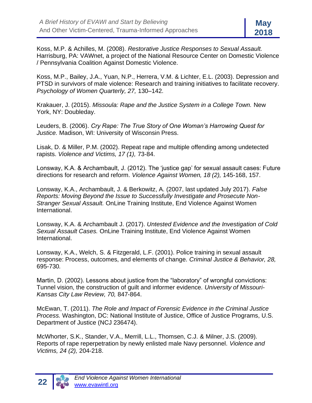Koss, M.P. & Achilles, M. (2008). *Restorative Justice Responses to Sexual Assault.* Harrisburg, PA: VAWnet, a project of the National Resource Center on Domestic Violence / Pennsylvania Coalition Against Domestic Violence.

Koss, M.P., Bailey, J.A., Yuan, N.P., Herrera, V.M. & Lichter, E.L. (2003). Depression and PTSD in survivors of male violence: Research and training initiatives to facilitate recovery. *Psychology of Women Quarterly, 27,* 130–142.

Krakauer, J. (2015). *Missoula: Rape and the Justice System in a College Town.* New York, NY: Doubleday.

Leuders, B. (2006). *Cry Rape: The True Story of One Woman's Harrowing Quest for Justice.* Madison, WI: University of Wisconsin Press.

Lisak, D. & Miller, P.M. (2002). Repeat rape and multiple offending among undetected rapists. *Violence and Victims, 17 (1),* 73-84.

Lonsway, K.A. & Archambault, J. (2012). The 'justice gap' for sexual assault cases: Future directions for research and reform. *Violence Against Women, 18 (2),* 145-168, 157.

Lonsway, K.A., Archambault, J. & Berkowitz, A. (2007, last updated July 2017). *False Reports: Moving Beyond the Issue to Successfully Investigate and Prosecute Non-Stranger Sexual Assault.* OnLine Training Institute, End Violence Against Women International.

Lonsway, K.A. & Archambault J. (2017). *Untested Evidence and the Investigation of Cold Sexual Assault Cases.* OnLine Training Institute, End Violence Against Women International.

Lonsway, K.A., Welch, S. & Fitzgerald, L.F. (2001). Police training in sexual assault response: Process, outcomes, and elements of change. *Criminal Justice & Behavior, 28,*  695-730*.*

Martin, D. (2002). Lessons about justice from the "laboratory" of wrongful convictions: Tunnel vision, the construction of guilt and informer evidence. *University of Missouri-Kansas City Law Review, 70,* 847-864.

McEwan, T. (2011). *The Role and Impact of Forensic Evidence in the Criminal Justice Process.* Washington, DC: National Institute of Justice, Office of Justice Programs, U.S. Department of Justice (NCJ 236474).

McWhorter, S.K., Stander, V.A., Merrill, L.L., Thomsen, C.J. & Milner, J.S. (2009). Reports of rape reperpetration by newly enlisted male Navy personnel. *Violence and Victims, 24 (2),* 204-218.

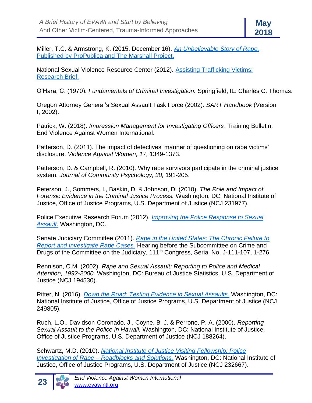Miller, T.C. & Armstrong, K. (2015, December 16). *[An Unbelievable Story of Rape.](https://www.propublica.org/article/false-rape-accusations-an-unbelievable-story)* Published by ProPublica and The Marshall Project.

National Sexual Violence Resource Center (2012). [Assisting Trafficking Victims:](https://www.nsvrc.org/sites/default/files/2012-10/publications_nsvrc_research-brief_human-trafficking.pdf)  [Research Brief.](https://www.nsvrc.org/sites/default/files/2012-10/publications_nsvrc_research-brief_human-trafficking.pdf)

O'Hara, C. (1970). *Fundamentals of Criminal Investigation.* Springfield, IL: Charles C. Thomas.

Oregon Attorney General's Sexual Assault Task Force (2002). *SART Handbook* (Version I, 2002).

Patrick, W. (2018). *Impression Management for Investigating Officers*. Training Bulletin, End Violence Against Women International.

Patterson, D. (2011). The impact of detectives' manner of questioning on rape victims' disclosure. *Violence Against Women, 17,* 1349-1373.

Patterson, D. & Campbell, R. (2010). Why rape survivors participate in the criminal justice system. *Journal of Community Psychology, 38,* 191-205.

Peterson, J., Sommers, I., Baskin, D. & Johnson, D. (2010). *The Role and Impact of Forensic Evidence in the Criminal Justice Process.* Washington, DC: National Institute of Justice, Office of Justice Programs, U.S. Department of Justice (NCJ 231977).

Police Executive Research Forum (2012). *[Improving the Police Response to Sexual](http://policeforum.org/library/critical-issues-in-policing-series/SexualAssaulttext_web.pdf)  [Assault.](http://policeforum.org/library/critical-issues-in-policing-series/SexualAssaulttext_web.pdf)* Washington, DC.

Senate Judiciary Committee (2011). *[Rape in the United States: The Chronic Failure to](http://www.judiciary.senate.gov/hearings/hearing.cfm?id=e655f9e2809e5476862f735da16234b9)  [Report and Investigate Rape Cases.](http://www.judiciary.senate.gov/hearings/hearing.cfm?id=e655f9e2809e5476862f735da16234b9)* Hearing before the Subcommittee on Crime and Drugs of the Committee on the Judiciary, 111<sup>th</sup> Congress, Serial No. J-111-107, 1-276.

Rennison, C.M. (2002). *Rape and Sexual Assault: Reporting to Police and Medical Attention, 1992-2000.* Washington, DC: Bureau of Justice Statistics, U.S. Department of Justice (NCJ 194530).

Ritter, N. (2016). *[Down the Road: Testing Evidence in Sexual Assaults.](https://www.ncjrs.gov/pdffiles1/nij/249805.pdf)* Washington, DC: National Institute of Justice, Office of Justice Programs, U.S. Department of Justice (NCJ 249805).

Ruch, L.O., Davidson-Coronado, J., Coyne, B. J. & Perrone, P. A. (2000). *Reporting Sexual Assault to the Police in Hawaii.* Washington, DC: National Institute of Justice, Office of Justice Programs, U.S. Department of Justice (NCJ 188264).

Schwartz, M.D. (2010). *[National Institute of Justice Visiting Fellowship: Police](https://www.ncjrs.gov/pdffiles1/nij/grants/232667.pdf)  Investigation of Rape – [Roadblocks and Solutions.](https://www.ncjrs.gov/pdffiles1/nij/grants/232667.pdf)* Washington, DC: National Institute of Justice, Office of Justice Programs, U.S. Department of Justice (NCJ 232667).

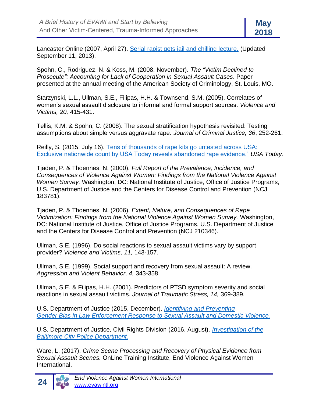Lancaster Online (2007, April 27). [Serial rapist gets jail and chilling lecture.](http://lancasteronline.com/news/serial-rapist-gets-jail-and-chilling-lecture/article_2d3e6134-ef2e-5701-892f-c87bfc20d04a.html?mode=story) (Updated September 11, 2013).

Spohn, C., Rodriguez, N. & Koss, M. (2008, November). *The "Victim Declined to Prosecute": Accounting for Lack of Cooperation in Sexual Assault Cases*. Paper presented at the annual meeting of the American Society of Criminology, St. Louis, MO.

Starzynski, L.L., Ullman, S.E., Filipas, H.H. & Townsend, S.M. (2005). Correlates of women's sexual assault disclosure to informal and formal support sources. *Violence and Victims, 20,* 415-431.

Tellis, K.M. & Spohn, C. (2008). The sexual stratification hypothesis revisited: Testing assumptions about simple versus aggravate rape. *Journal of Criminal Justice, 36*, 252-261.

Reilly, S. (2015, July 16). [Tens of thousands of rape kits go untested across USA:](http://www.usatoday.com/story/news/2015/07/16/untested-rape-kits-evidence-across-usa/29902199/)  [Exclusive nationwide count by USA Today reveals abandoned rape evidence."](http://www.usatoday.com/story/news/2015/07/16/untested-rape-kits-evidence-across-usa/29902199/) *USA Today*.

Tjaden, P. & Thoennes, N. (2000). *Full Report of the Prevalence, Incidence, and Consequences of Violence Against Women: Findings from the National Violence Against Women Survey.* Washington, DC: National Institute of Justice, Office of Justice Programs, U.S. Department of Justice and the Centers for Disease Control and Prevention (NCJ 183781).

Tjaden, P. & Thoennes, N. (2006). *Extent, Nature, and Consequences of Rape Victimization: Findings from the National Violence Against Women Survey.* Washington, DC: National Institute of Justice, Office of Justice Programs, U.S. Department of Justice and the Centers for Disease Control and Prevention (NCJ 210346).

Ullman, S.E. (1996). Do social reactions to sexual assault victims vary by support provider? *Violence and Victims, 11,* 143-157.

Ullman, S.E. (1999). Social support and recovery from sexual assault: A review. *Aggression and Violent Behavior, 4,* 343-358.

Ullman, S.E. & Filipas, H.H. (2001). Predictors of PTSD symptom severity and social reactions in sexual assault victims. *Journal of Traumatic Stress, 14,* 369-389.

U.S. Department of Justice (2015, December). *[Identifying and Preventing](https://www.justice.gov/opa/file/799366/download)  [Gender Bias in Law Enforcement Response to Sexual Assault and Domestic Violence.](https://www.justice.gov/opa/file/799366/download)*

U.S. Department of Justice, Civil Rights Division (2016, August). *[Investigation of the](https://www.justice.gov/crt/file/883296/download)  [Baltimore City Police Department.](https://www.justice.gov/crt/file/883296/download)*

Ware, L. (2017). *[Crime Scene Processing and Recovery of Physical Evidence from](http://www.evawintl.org/Library/DocumentLibraryHandler.ashx?id=931)  [Sexual Assault Scenes.](http://www.evawintl.org/Library/DocumentLibraryHandler.ashx?id=931)* OnLine Training Institute, End Violence Against Women International.